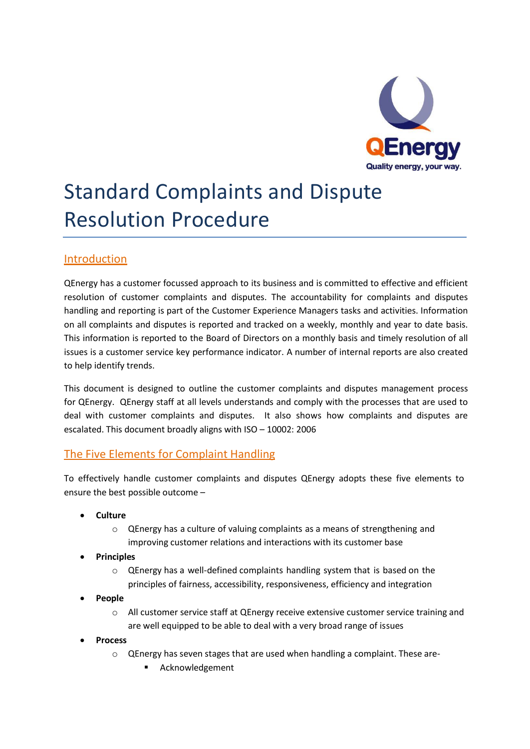

# Standard Complaints and Dispute Resolution Procedure

## **Introduction**

QEnergy has a customer focussed approach to its business and is committed to effective and efficient resolution of customer complaints and disputes. The accountability for complaints and disputes handling and reporting is part of the Customer Experience Managers tasks and activities. Information on all complaints and disputes is reported and tracked on a weekly, monthly and year to date basis. This information is reported to the Board of Directors on a monthly basis and timely resolution of all issues is a customer service key performance indicator. A number of internal reports are also created to help identify trends.

This document is designed to outline the customer complaints and disputes management process for QEnergy. QEnergy staff at all levels understands and comply with the processes that are used to deal with customer complaints and disputes. It also shows how complaints and disputes are escalated. This document broadly aligns with ISO – 10002: 2006

#### The Five Elements for Complaint Handling

To effectively handle customer complaints and disputes QEnergy adopts these five elements to ensure the best possible outcome –

- **Culture**
	- o QEnergy has a culture of valuing complaints as a means of strengthening and improving customer relations and interactions with its customer base
- **Principles**
	- o QEnergy has a well-defined complaints handling system that is based on the principles of fairness, accessibility, responsiveness, efficiency and integration
- **People**
	- o All customer service staff at QEnergy receive extensive customer service training and are well equipped to be able to deal with a very broad range of issues
- **Process**
	- o QEnergy has seven stages that are used when handling a complaint. These are-
		- Acknowledgement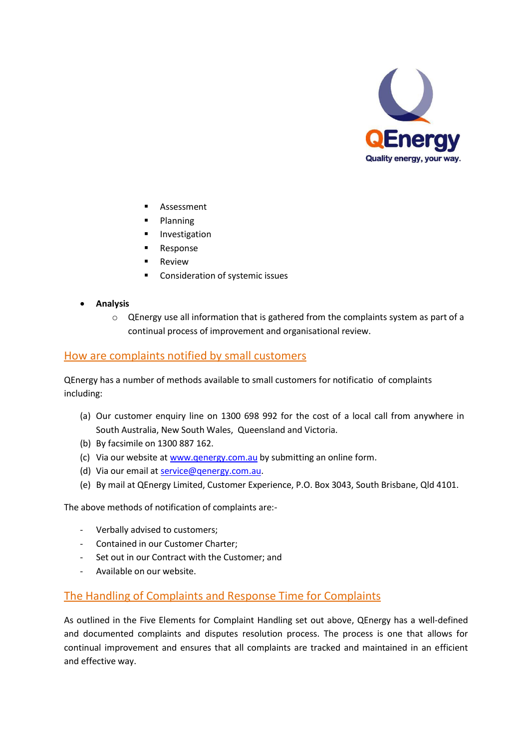

- Assessment
- Planning
- **Investigation**
- **Response**
- **Review**
- Consideration of systemic issues
- **Analysis**
	- $\circ$  QEnergy use all information that is gathered from the complaints system as part of a continual process of improvement and organisational review.

## How are complaints notified by small customers

QEnergy has a number of methods available to small customers for notificatio of complaints including:

- (a) Our customer enquiry line on 1300 698 992 for the cost of a local call from anywhere in South Australia, New South Wales, Queensland and Victoria.
- (b) By facsimile on 1300 887 162.
- (c) Via our website at [www.qenergy.com.au](http://www.qenergy.com.au/) by submitting an online form.
- (d) Via our email a[t service@qenergy.com.au.](mailto:service@qenergy.com.au)
- (e) By mail at QEnergy Limited, Customer Experience, P.O. Box 3043, South Brisbane, Qld 4101.

The above methods of notification of complaints are:-

- Verbally advised to customers;
- Contained in our Customer Charter;
- Set out in our Contract with the Customer; and
- Available on our website.

# The Handling of Complaints and Response Time for Complaints

As outlined in the Five Elements for Complaint Handling set out above, QEnergy has a well-defined and documented complaints and disputes resolution process. The process is one that allows for continual improvement and ensures that all complaints are tracked and maintained in an efficient and effective way.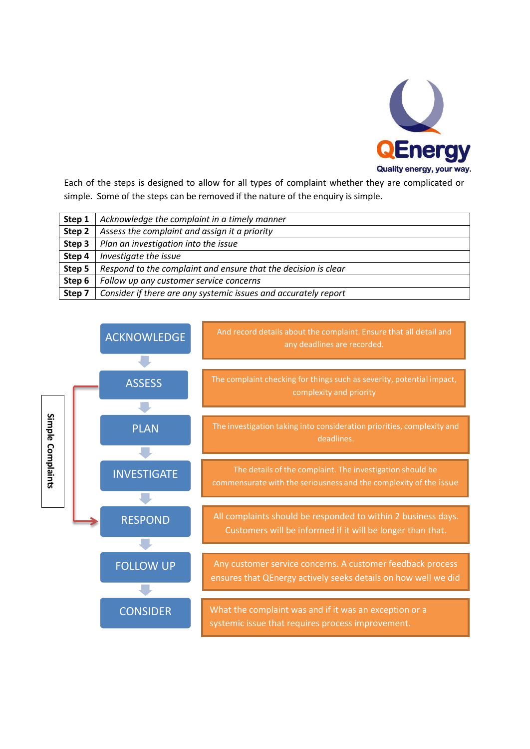

Each of the steps is designed to allow for all types of complaint whether they are complicated or simple. Some of the steps can be removed if the nature of the enquiry is simple.

| Step 1 | Acknowledge the complaint in a timely manner                    |
|--------|-----------------------------------------------------------------|
| Step 2 | Assess the complaint and assign it a priority                   |
| Step 3 | Plan an investigation into the issue                            |
| Step 4 | Investigate the issue                                           |
| Step 5 | Respond to the complaint and ensure that the decision is clear  |
| Step 6 | Follow up any customer service concerns                         |
| Step:  | Consider if there are any systemic issues and accurately report |

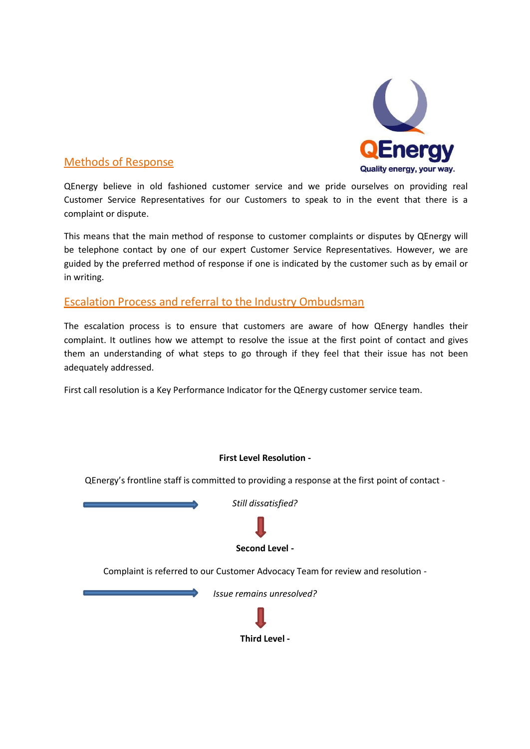

## Methods of Response

QEnergy believe in old fashioned customer service and we pride ourselves on providing real Customer Service Representatives for our Customers to speak to in the event that there is a complaint or dispute.

This means that the main method of response to customer complaints or disputes by QEnergy will be telephone contact by one of our expert Customer Service Representatives. However, we are guided by the preferred method of response if one is indicated by the customer such as by email or in writing.

#### Escalation Process and referral to the Industry Ombudsman

The escalation process is to ensure that customers are aware of how QEnergy handles their complaint. It outlines how we attempt to resolve the issue at the first point of contact and gives them an understanding of what steps to go through if they feel that their issue has not been adequately addressed.

First call resolution is a Key Performance Indicator for the QEnergy customer service team.

#### **First Level Resolution -**

QEnergy's frontline staff is committed to providing a response at the first point of contact -